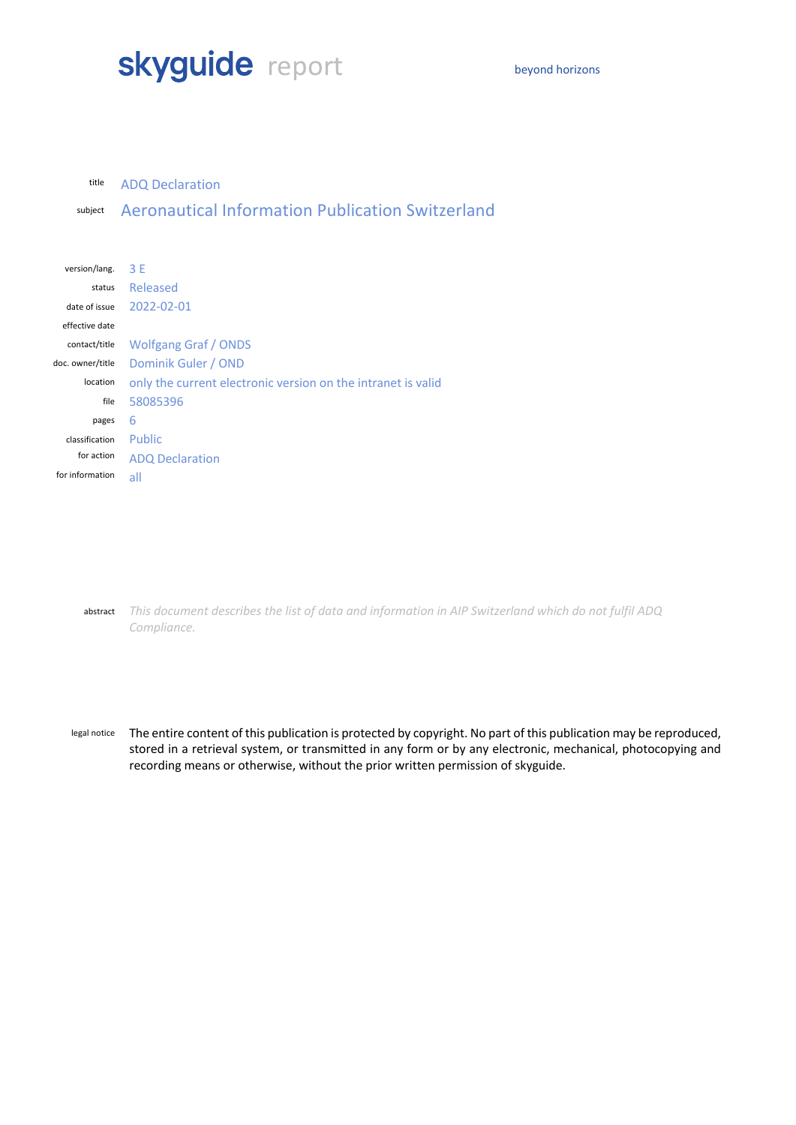# skyguide report beyond horizons

#### title ADQ Declaration

subject Aeronautical Information Publication Switzerland

| version/lang.    | 3 F                                                          |  |
|------------------|--------------------------------------------------------------|--|
| status           | Released                                                     |  |
| date of issue    | 2022-02-01                                                   |  |
| effective date   |                                                              |  |
| contact/title    | <b>Wolfgang Graf / ONDS</b>                                  |  |
| doc. owner/title | Dominik Guler / OND                                          |  |
| location         | only the current electronic version on the intranet is valid |  |
| file             | 58085396                                                     |  |
| pages            | 6                                                            |  |
| classification   | <b>Public</b>                                                |  |
| for action       | <b>ADQ Declaration</b>                                       |  |
| for information  | all                                                          |  |
|                  |                                                              |  |

abstract *This document describes the list of data and information in AIP Switzerland which do not fulfil ADQ Compliance.*

legal notice The entire content of this publication is protected by copyright. No part of this publication may be reproduced, stored in a retrieval system, or transmitted in any form or by any electronic, mechanical, photocopying and recording means or otherwise, without the prior written permission of skyguide.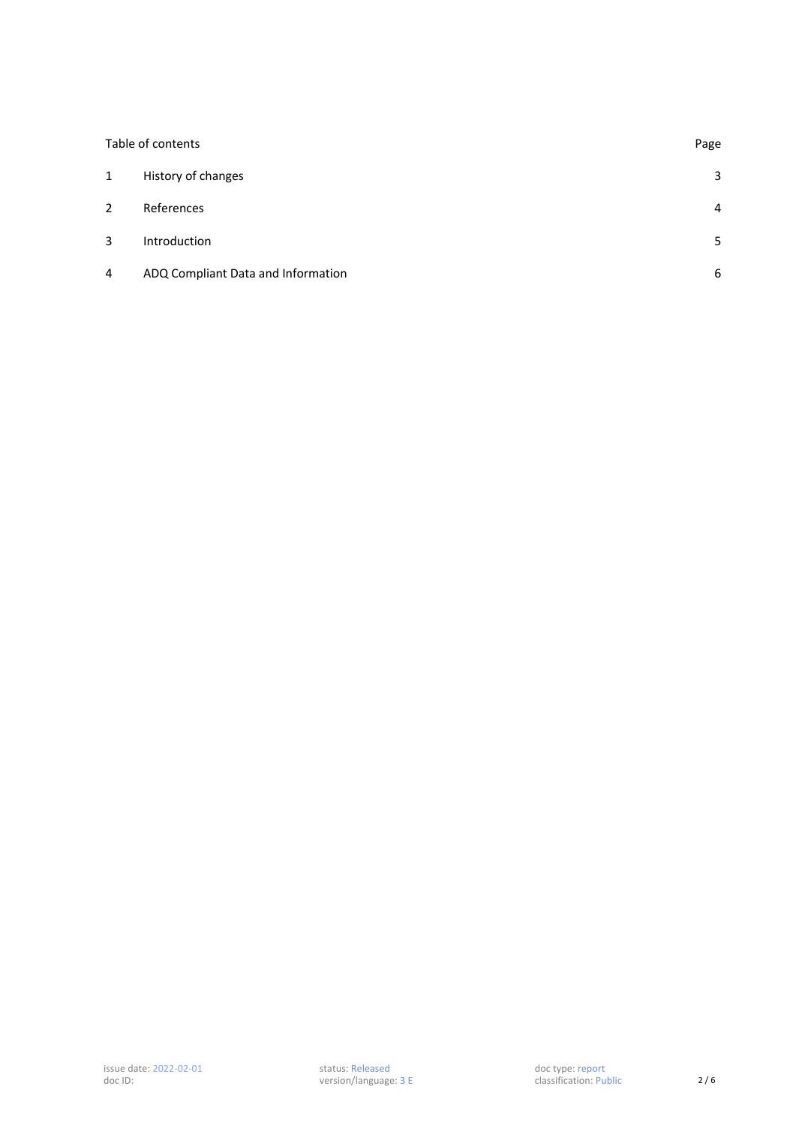| Table of contents |                                    |                |
|-------------------|------------------------------------|----------------|
| 1                 | History of changes                 | $\mathbf{3}$   |
| $\overline{2}$    | References                         | $\overline{4}$ |
| 3                 | Introduction                       | 5.             |
| 4                 | ADQ Compliant Data and Information | 6              |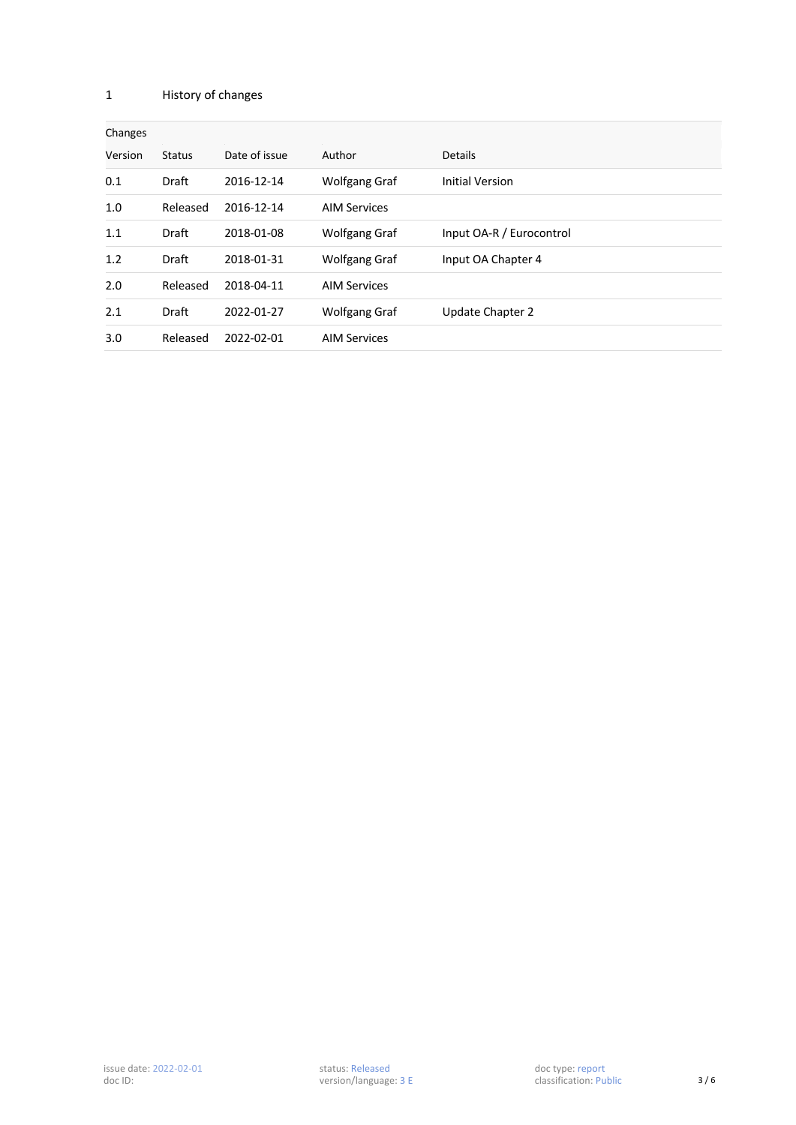### 1 History of changes

| Changes |               |               |                      |                          |  |  |  |
|---------|---------------|---------------|----------------------|--------------------------|--|--|--|
| Version | <b>Status</b> | Date of issue | Author               | Details                  |  |  |  |
| 0.1     | Draft         | 2016-12-14    | <b>Wolfgang Graf</b> | <b>Initial Version</b>   |  |  |  |
| 1.0     | Released      | 2016-12-14    | <b>AIM Services</b>  |                          |  |  |  |
| 1.1     | Draft         | 2018-01-08    | <b>Wolfgang Graf</b> | Input OA-R / Eurocontrol |  |  |  |
| 1.2     | Draft         | 2018-01-31    | <b>Wolfgang Graf</b> | Input OA Chapter 4       |  |  |  |
| 2.0     | Released      | 2018-04-11    | <b>AIM Services</b>  |                          |  |  |  |
| 2.1     | <b>Draft</b>  | 2022-01-27    | Wolfgang Graf        | Update Chapter 2         |  |  |  |
| 3.0     | Released      | 2022-02-01    | <b>AIM Services</b>  |                          |  |  |  |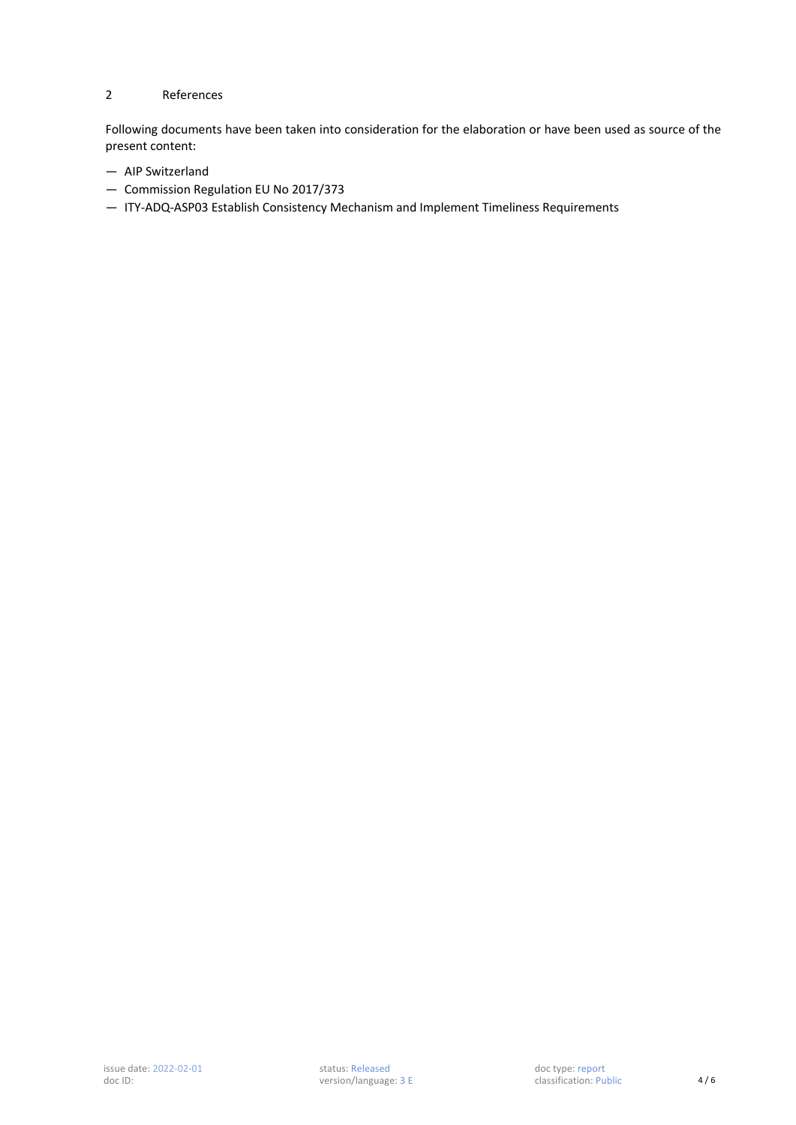# 2 References

Following documents have been taken into consideration for the elaboration or have been used as source of the present content:

- AIP Switzerland
- Commission Regulation EU No 2017/373
- ITY-ADQ-ASP03 Establish Consistency Mechanism and Implement Timeliness Requirements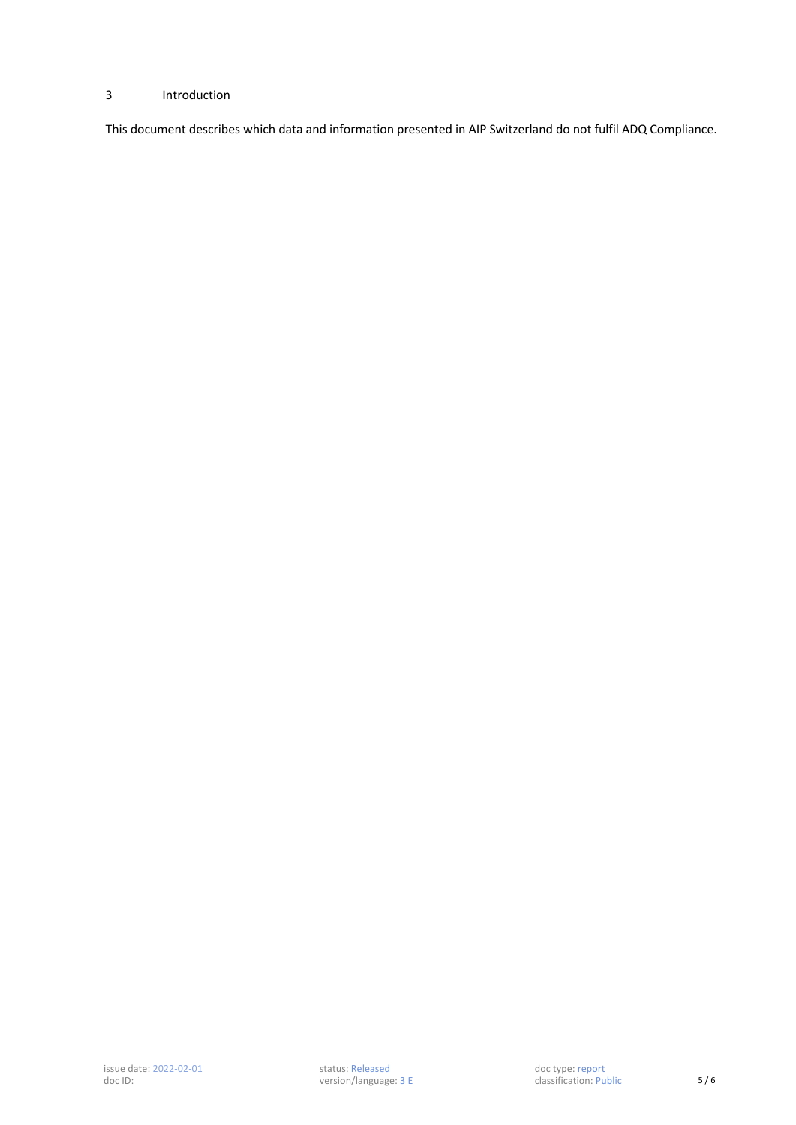# 3 Introduction

This document describes which data and information presented in AIP Switzerland do not fulfil ADQ Compliance.